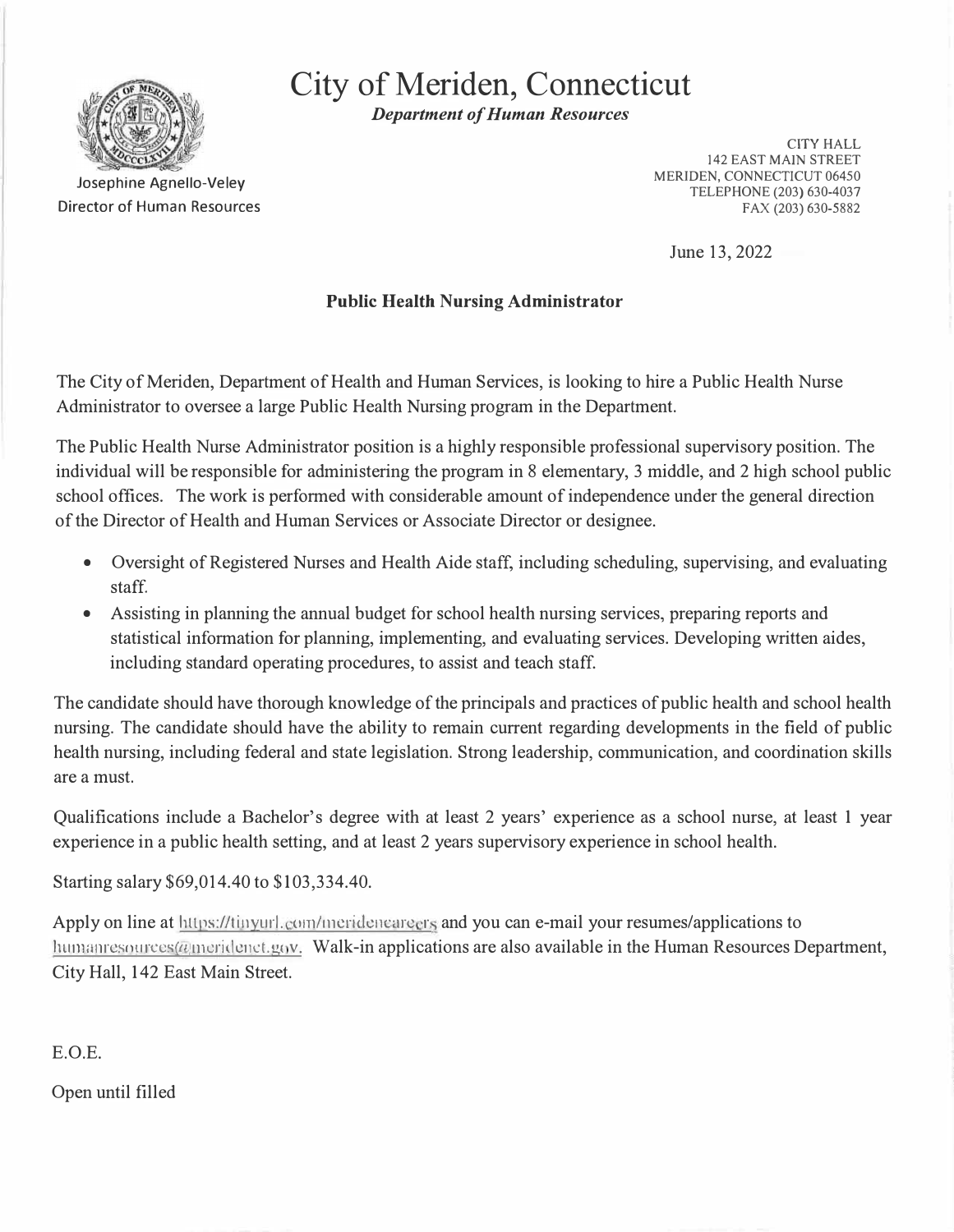

**City of Meriden, Connecticut** 

*Department of Human Resources* 

Josephine Agnello-Veley Director of Human Resources

CITY HALL 142 EAST MAIN STREET MERIDEN, CONNECTICUT 06450 TELEPHONE (203) 630-4037 FAX (203) 630-5882

June 13, 2022

# **Public Health Nursing Administrator**

The City of Meriden, Department of Health and Human Services, is looking to hire a Public Health Nurse Administrator to oversee a large Public Health Nursing program in the Department.

The Public Health Nurse Administrator position is a highly responsible professional supervisory position. The individual will be responsible for administering the program in 8 elementary, 3 middle, and 2 high school public school offices. The work is performed with considerable amount of independence under the general direction of the Director of Health and Human Services or Associate Director or designee.

- Oversight of Registered Nurses and Health Aide staff, including scheduling, supervising, and evaluating staff.
- Assisting in planning the annual budget for school health nursing services, preparing reports and statistical information for planning, implementing, and evaluating services. Developing written aides, including standard operating procedures, to assist and teach staff.

The candidate should have thorough knowledge of the principals and practices of public health and school health nursing. The candidate should have the ability to remain current regarding developments in the field of public health nursing, including federal and state legislation. Strong leadership, communication, and coordination skills are a must.

Qualifications include a Bachelor's degree with at least 2 years' experience as a school nurse, at least 1 year experience in a public health setting, and at least 2 years supervisory experience in school health.

Starting salary \$69,014.40 to \$103,334.40.

Apply on line at https://tinyurl.com/meridencareers and you can e-mail your resumes/applications to  $l$  humanics ources ( $a$  meridenct.gov. Walk-in applications are also available in the Human Resources Department, City Hall, 142 East Main Street.

E.O.E.

Open until filled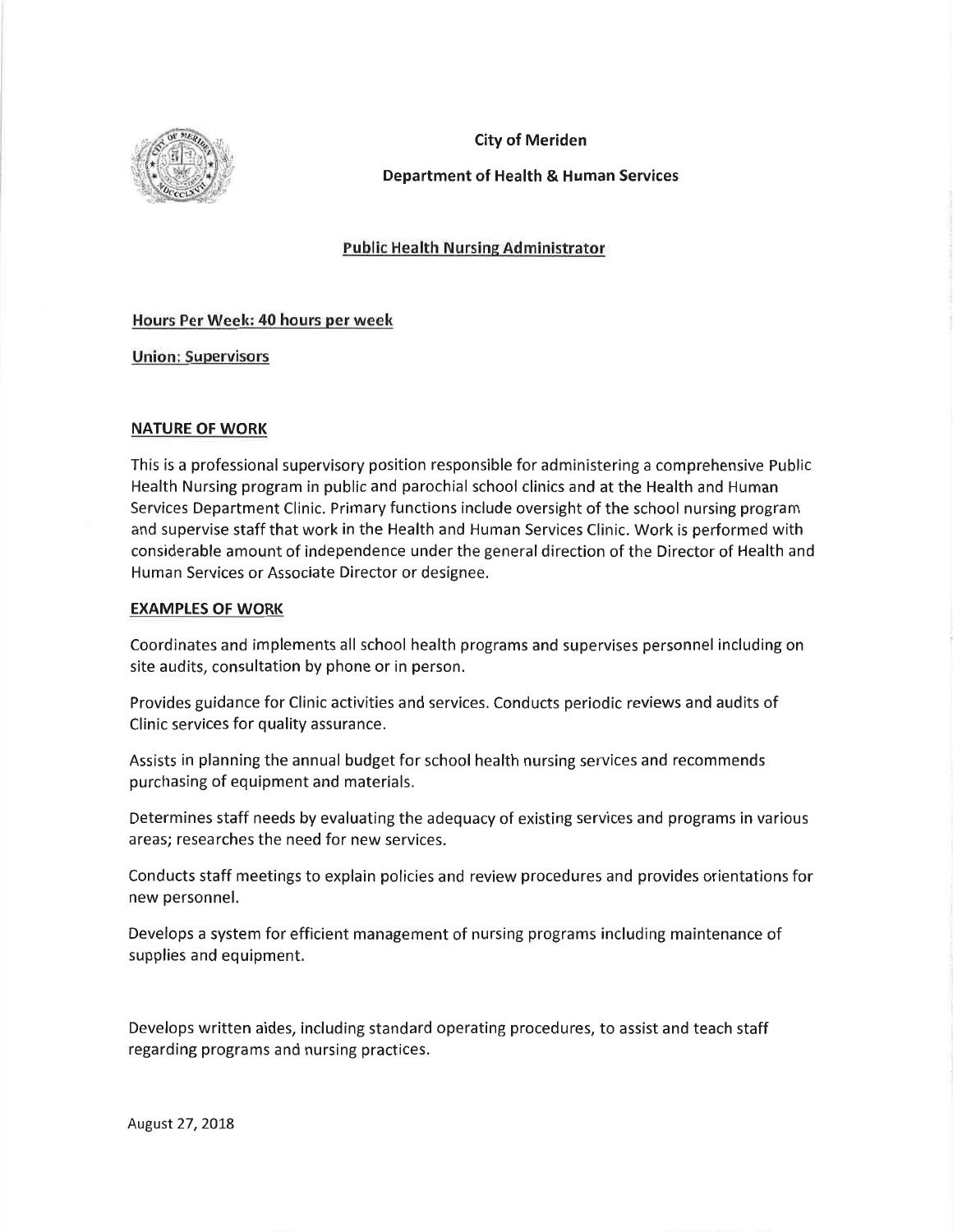

### **City of Meriden**

## **Department of Health & Human Services**

### **Public Health Nursing Administrator**

### Hours Per Week: 40 hours per week

**Union: Supervisors** 

### **NATURE OF WORK**

This is a professional supervisory position responsible for administering a comprehensive Public Health Nursing program in public and parochial school clinics and at the Health and Human Services Department Clinic. Primary functions include oversight of the school nursing program and supervise staff that work in the Health and Human Services Clinic. Work is performed with considerable amount of independence under the general direction of the Director of Health and Human Services or Associate Director or designee.

#### **EXAMPLES OF WORK**

Coordinates and implements all school health programs and supervises personnel including on site audits, consultation by phone or in person.

Provides guidance for Clinic activities and services. Conducts periodic reviews and audits of Clinic services for quality assurance.

Assists in planning the annual budget for school health nursing services and recommends purchasing of equipment and materials.

Determines staff needs by evaluating the adequacy of existing services and programs in various areas; researches the need for new services.

Conducts staff meetings to explain policies and review procedures and provides orientations for new personnel.

Develops a system for efficient management of nursing programs including maintenance of supplies and equipment.

Develops written aides, including standard operating procedures, to assist and teach staff regarding programs and nursing practices.